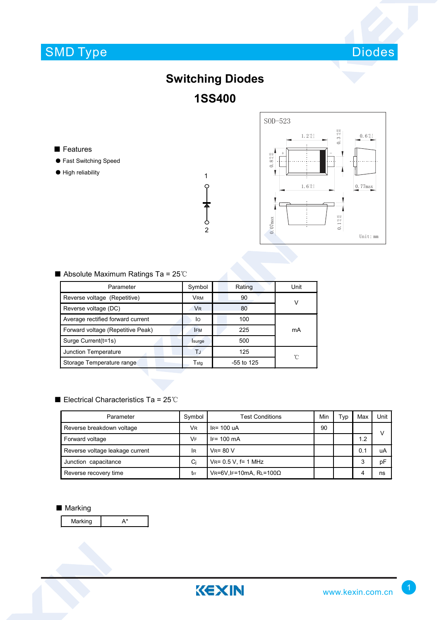# SMD Type



### **Switching Diodes 1SS400**

1

 $\varphi$ 

 $\begin{array}{c}\n\blacklozenge \\
\downarrow \\
2\n\end{array}$ 

■ Features

- Fast Switching Speed
- High reliability



#### ■ Absolute Maximum Ratings Ta = 25℃

| Parameter                         | Symbol                      | Rating       | Unit |  |
|-----------------------------------|-----------------------------|--------------|------|--|
| Reverse voltage (Repetitive)      | <b>VRM</b>                  | 90           | ν    |  |
| Reverse voltage (DC)              | <b>V<sub>R</sub></b>        | 80           |      |  |
| Average rectified forward current | lo                          | 100          |      |  |
| Forward voltage (Repetitive Peak) | <b>IFM</b>                  | 225          | mA   |  |
| Surge Current(t=1s)               | Isurge                      | 500          |      |  |
| Junction Temperature              | T.J                         | 125          | 'n   |  |
| Storage Temperature range         | $\mathsf{T}_{\mathsf{stq}}$ | $-55$ to 125 |      |  |

#### ■ Electrical Characteristics Ta = 25℃

| Parameter                       | Symbol    | <b>Test Conditions</b>             |    | Typ | Max | Unit      |
|---------------------------------|-----------|------------------------------------|----|-----|-----|-----------|
| Reverse breakdown voltage       | <b>VR</b> | IR= 100 uA                         | 90 |     |     | $\sqrt{}$ |
| Forward voltage                 | VF        | $IF = 100 \, mA$                   |    |     | 1.2 |           |
| Reverse voltage leakage current | <b>IR</b> | $V_R = 80 V$                       |    |     | 0.1 | uA        |
| Junction capacitance            | Ci        | $V_{R} = 0.5 V$ , f= 1 MHz         |    |     | 3   | pF        |
| Reverse recovery time           | trr       | $V$ R=6V, IF=10mA, RL=100 $\Omega$ |    |     |     | ns        |

#### ■ Marking

Marking A\*